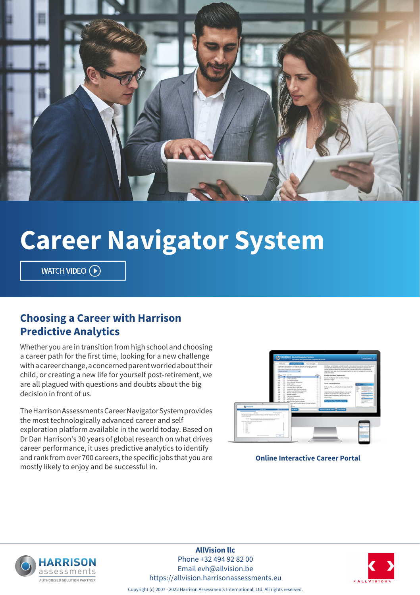

# **Career Navigator System**

WATCH VIDEO  $\left(\widehat{\mathbf{P}}\right)$ 

#### **Choosing a Career with Harrison Predictive Analytics**

Whether you are in transition from high school and choosing a career path for the first time, looking for a new challenge with a career change, a concerned parent worried about their child, or creating a new life for yourself post-retirement, we are all plagued with questions and doubts about the big decision in front of us.

The Harrison Assessments Career Navigator System provides the most technologically advanced career and self exploration platform available in the world today. Based on Dr Dan Harrison's 30 years of global research on what drives career performance, it uses predictive analytics to identify and rank from over 700 careers, the specific jobs that you are mostly likely to enjoy and be successful in.



#### **Online Interactive Career Portal**



**AllVision llc** Phone +32 494 92 82 00 Email evh@allvision.be https://allvision.harrisonassessments.eu



Copyright (c) 2007 - 2022 Harrison Assessments International, Ltd. All rights reserved.